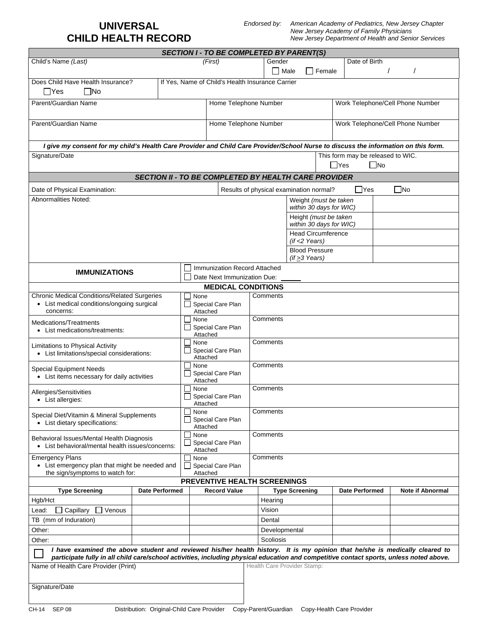## **UNIVERSAL CHILD HEALTH RECORD**

*Endorsed by: American Academy of Pediatrics, New Jersey Chapter New Jersey Academy of Family Physicians New Jersey Department of Health and Senior Services*

|                                                                                                                                                                                 |                                                             |                                       | <b>SECTION I - TO BE COMPLETED BY PARENT(S)</b> |  |                            |                                                  |                                  |                                   |  |                         |  |
|---------------------------------------------------------------------------------------------------------------------------------------------------------------------------------|-------------------------------------------------------------|---------------------------------------|-------------------------------------------------|--|----------------------------|--------------------------------------------------|----------------------------------|-----------------------------------|--|-------------------------|--|
| Child's Name (Last)                                                                                                                                                             |                                                             | (First)                               |                                                 |  | Gender                     |                                                  |                                  | Date of Birth                     |  |                         |  |
|                                                                                                                                                                                 |                                                             |                                       |                                                 |  |                            | Male                                             | $\Box$ Female                    |                                   |  |                         |  |
| Does Child Have Health Insurance?<br>If Yes, Name of Child's Health Insurance Carrier<br>$\Box$ Yes<br>l INo                                                                    |                                                             |                                       |                                                 |  |                            |                                                  |                                  |                                   |  |                         |  |
| Parent/Guardian Name                                                                                                                                                            |                                                             |                                       | Home Telephone Number                           |  |                            |                                                  |                                  | Work Telephone/Cell Phone Number  |  |                         |  |
| Parent/Guardian Name                                                                                                                                                            |                                                             |                                       | Home Telephone Number                           |  |                            |                                                  | Work Telephone/Cell Phone Number |                                   |  |                         |  |
| I give my consent for my child's Health Care Provider and Child Care Provider/School Nurse to discuss the information on this form.                                             |                                                             |                                       |                                                 |  |                            |                                                  |                                  |                                   |  |                         |  |
| Signature/Date                                                                                                                                                                  |                                                             |                                       |                                                 |  |                            |                                                  |                                  | This form may be released to WIC. |  |                         |  |
|                                                                                                                                                                                 |                                                             |                                       |                                                 |  | $\Box$ Yes<br>$\Box$ No    |                                                  |                                  |                                   |  |                         |  |
|                                                                                                                                                                                 | <b>SECTION II - TO BE COMPLETED BY HEALTH CARE PROVIDER</b> |                                       |                                                 |  |                            |                                                  |                                  |                                   |  |                         |  |
| Results of physical examination normal?<br>Date of Physical Examination:                                                                                                        |                                                             |                                       |                                                 |  |                            |                                                  |                                  | ∏Yes                              |  | $\Box$ No               |  |
| Abnormalities Noted:                                                                                                                                                            |                                                             |                                       |                                                 |  |                            |                                                  |                                  | Weight (must be taken             |  |                         |  |
|                                                                                                                                                                                 |                                                             |                                       |                                                 |  | within 30 days for WIC)    |                                                  |                                  |                                   |  |                         |  |
|                                                                                                                                                                                 |                                                             |                                       |                                                 |  |                            | Height (must be taken<br>within 30 days for WIC) |                                  |                                   |  |                         |  |
|                                                                                                                                                                                 |                                                             |                                       |                                                 |  | <b>Head Circumference</b>  |                                                  |                                  |                                   |  |                         |  |
|                                                                                                                                                                                 |                                                             |                                       |                                                 |  |                            | $($ if <2 Years $)$                              |                                  |                                   |  |                         |  |
|                                                                                                                                                                                 |                                                             |                                       |                                                 |  |                            | <b>Blood Pressure</b><br>$($ if $\geq$ 3 Years)  |                                  |                                   |  |                         |  |
|                                                                                                                                                                                 |                                                             |                                       | Immunization Record Attached                    |  |                            |                                                  |                                  |                                   |  |                         |  |
| <b>IMMUNIZATIONS</b>                                                                                                                                                            |                                                             | Date Next Immunization Due:           |                                                 |  |                            |                                                  |                                  |                                   |  |                         |  |
|                                                                                                                                                                                 |                                                             | None                                  | <b>MEDICAL CONDITIONS</b>                       |  |                            |                                                  |                                  |                                   |  |                         |  |
| <b>Chronic Medical Conditions/Related Surgeries</b><br>• List medical conditions/ongoing surgical                                                                               |                                                             |                                       | Special Care Plan                               |  | Comments                   |                                                  |                                  |                                   |  |                         |  |
| concerns:                                                                                                                                                                       |                                                             | Attached                              |                                                 |  |                            |                                                  |                                  |                                   |  |                         |  |
| Medications/Treatments<br>• List medications/treatments:                                                                                                                        |                                                             | None                                  |                                                 |  | Comments                   |                                                  |                                  |                                   |  |                         |  |
|                                                                                                                                                                                 |                                                             | Special Care Plan<br>Attached         |                                                 |  |                            |                                                  |                                  |                                   |  |                         |  |
| Limitations to Physical Activity<br>• List limitations/special considerations:                                                                                                  |                                                             | None<br>Special Care Plan<br>Attached |                                                 |  | Comments                   |                                                  |                                  |                                   |  |                         |  |
| Special Equipment Needs<br>• List items necessary for daily activities                                                                                                          |                                                             | None<br>Special Care Plan<br>Attached |                                                 |  | Comments                   |                                                  |                                  |                                   |  |                         |  |
| Allergies/Sensitivities<br>• List allergies:                                                                                                                                    |                                                             | None<br>Special Care Plan             |                                                 |  | Comments                   |                                                  |                                  |                                   |  |                         |  |
| Special Diet/Vitamin & Mineral Supplements                                                                                                                                      |                                                             |                                       | Attached<br>None<br>Special Care Plan           |  | Comments                   |                                                  |                                  |                                   |  |                         |  |
| • List dietary specifications:                                                                                                                                                  |                                                             | Attached                              |                                                 |  |                            |                                                  |                                  |                                   |  |                         |  |
| Behavioral Issues/Mental Health Diagnosis<br>• List behavioral/mental health issues/concerns:                                                                                   |                                                             | None<br>Attached                      | Special Care Plan                               |  | Comments                   |                                                  |                                  |                                   |  |                         |  |
| <b>Emergency Plans</b><br>• List emergency plan that might be needed and                                                                                                        |                                                             | None                                  | Special Care Plan                               |  | Comments                   |                                                  |                                  |                                   |  |                         |  |
| the sign/symptoms to watch for:<br>Attached<br><b>PREVENTIVE HEALTH SCREENINGS</b>                                                                                              |                                                             |                                       |                                                 |  |                            |                                                  |                                  |                                   |  |                         |  |
| <b>Type Screening</b>                                                                                                                                                           | <b>Date Performed</b>                                       |                                       | <b>Record Value</b>                             |  |                            | <b>Type Screening</b>                            |                                  | <b>Date Performed</b>             |  | <b>Note if Abnormal</b> |  |
| Hgb/Hct                                                                                                                                                                         |                                                             |                                       |                                                 |  | Hearing                    |                                                  |                                  |                                   |  |                         |  |
| Capillary<br>Venous<br>Lead:                                                                                                                                                    |                                                             |                                       |                                                 |  | Vision                     |                                                  |                                  |                                   |  |                         |  |
| TB (mm of Induration)                                                                                                                                                           |                                                             |                                       |                                                 |  | Dental                     |                                                  |                                  |                                   |  |                         |  |
| Other:<br>Other:                                                                                                                                                                |                                                             |                                       |                                                 |  | Developmental<br>Scoliosis |                                                  |                                  |                                   |  |                         |  |
| I have examined the above student and reviewed his/her health history. It is my opinion that he/she is medically cleared to                                                     |                                                             |                                       |                                                 |  |                            |                                                  |                                  |                                   |  |                         |  |
| participate fully in all child care/school activities, including physical education and competitive contact sports, unless noted above.<br>Name of Health Care Provider (Print) |                                                             | Health Care Provider Stamp:           |                                                 |  |                            |                                                  |                                  |                                   |  |                         |  |
| Signature/Date                                                                                                                                                                  |                                                             |                                       |                                                 |  |                            |                                                  |                                  |                                   |  |                         |  |
| SEP 08<br>CH-14                                                                                                                                                                 | Distribution: Original-Child Care Provider                  |                                       |                                                 |  | Copy-Parent/Guardian       |                                                  |                                  | Copy-Health Care Provider         |  |                         |  |